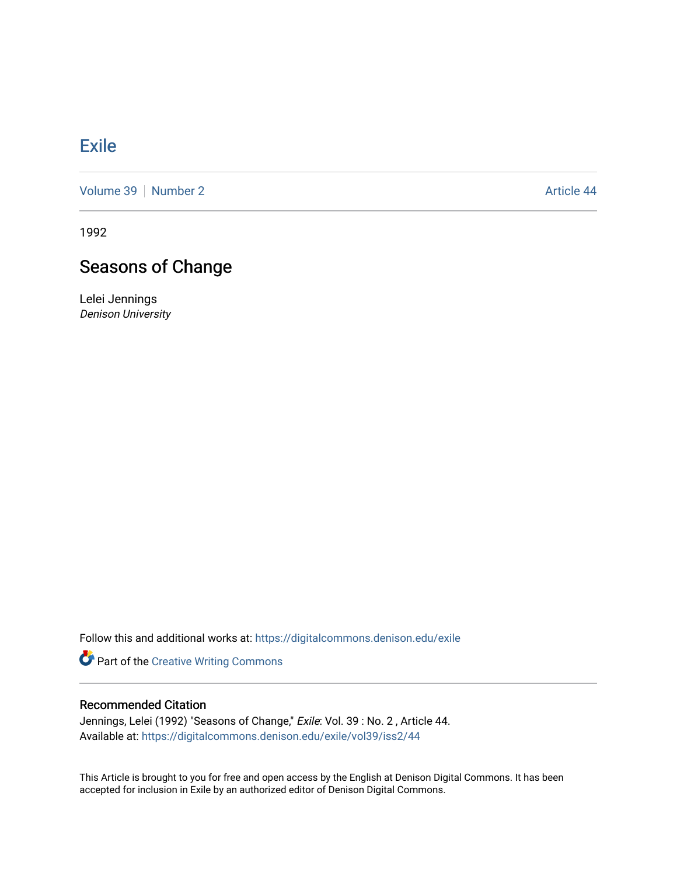## **[Exile](https://digitalcommons.denison.edu/exile)**

[Volume 39](https://digitalcommons.denison.edu/exile/vol39) [Number 2](https://digitalcommons.denison.edu/exile/vol39/iss2) Article 44

1992

## Seasons of Change

Lelei Jennings Denison University

Follow this and additional works at: [https://digitalcommons.denison.edu/exile](https://digitalcommons.denison.edu/exile?utm_source=digitalcommons.denison.edu%2Fexile%2Fvol39%2Fiss2%2F44&utm_medium=PDF&utm_campaign=PDFCoverPages) 

Part of the [Creative Writing Commons](http://network.bepress.com/hgg/discipline/574?utm_source=digitalcommons.denison.edu%2Fexile%2Fvol39%2Fiss2%2F44&utm_medium=PDF&utm_campaign=PDFCoverPages) 

## Recommended Citation

Jennings, Lelei (1992) "Seasons of Change," Exile: Vol. 39 : No. 2, Article 44. Available at: [https://digitalcommons.denison.edu/exile/vol39/iss2/44](https://digitalcommons.denison.edu/exile/vol39/iss2/44?utm_source=digitalcommons.denison.edu%2Fexile%2Fvol39%2Fiss2%2F44&utm_medium=PDF&utm_campaign=PDFCoverPages)

This Article is brought to you for free and open access by the English at Denison Digital Commons. It has been accepted for inclusion in Exile by an authorized editor of Denison Digital Commons.